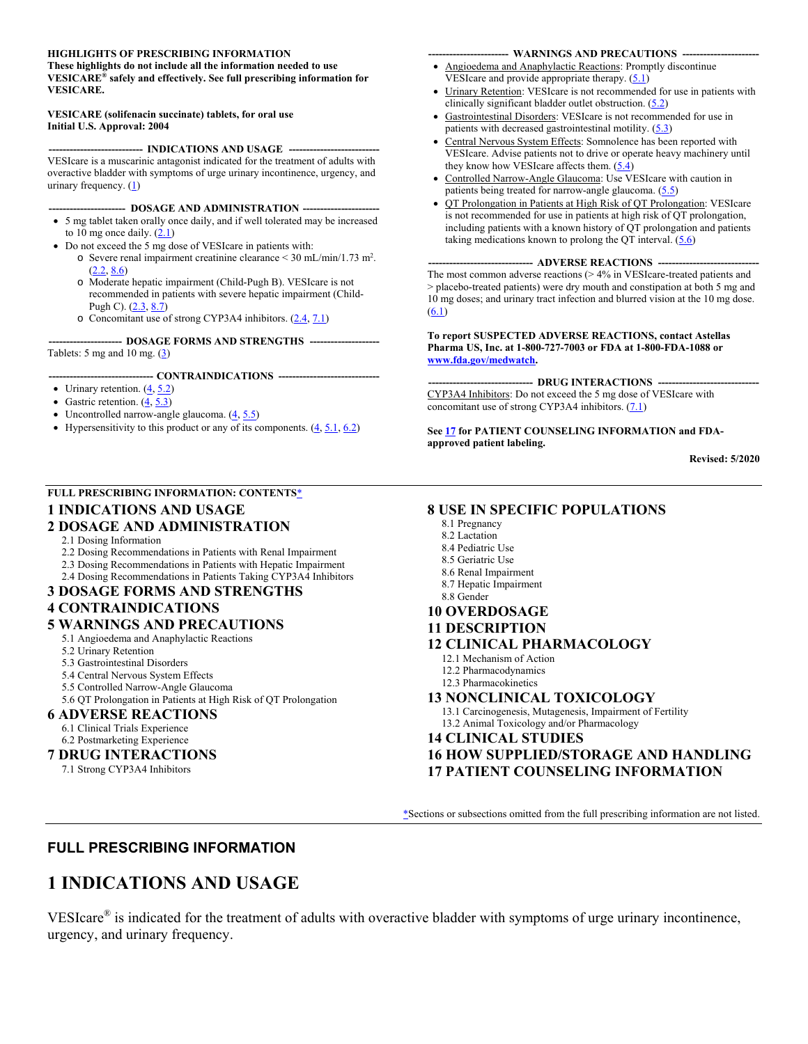#### **HIGHLIGHTS OF PRESCRIBING INFORMATION**

**These highlights do not include all the information needed to use VESICARE® safely and effectively. See full prescribing information for VESICARE.** 

#### **VESICARE (solifenacin succinate) tablets, for oral use Initial U.S. Approval: 2004**

------- INDICATIONS AND USAGE ----VESIcare is a muscarinic antagonist indicated for the treatment of adults with overactive bladder with symptoms of urge urinary incontinence, urgency, and urinary frequency. (1)

- -- DOSAGE AND ADMINISTRATION ---
- 5 mg tablet taken orally once daily, and if well tolerated may be increased to 10 mg once daily.  $(2.1)$
- Do not exceed the 5 mg dose of VESIcare in patients with:
	- $\circ$  Severe renal impairment creatinine clearance < 30 mL/min/1.73 m<sup>2</sup>. (2.2, 8.6)
	- o Moderate hepatic impairment (Child-Pugh B). VESIcare is not recommended in patients with severe hepatic impairment (Child-Pugh C). (2.3, 8.7)
	- o Concomitant use of strong CYP3A4 inhibitors. (2.4, 7.1)

 **--------------------- DOSAGE FORMS AND STRENGTHS --------------------**  Tablets: 5 mg and 10 mg.  $(3)$ 

#### --- CONTRAINDICATIONS ---

- Urinary retention.  $(\underline{4}, \underline{5.2})$
- Gastric retention.  $(\underline{4}, \underline{5.3})$
- Uncontrolled narrow-angle glaucoma.  $(4, 5.5)$
- Hypersensitivity to this product or any of its components.  $(4, 5.1, 6.2)$

#### **FULL PRESCRIBING INFORMATION: CONTENTS**\*

### **1 INDICATIONS AND USAGE**

#### **2 DOSAGE AND ADMINISTRATION**

- 2.1 Dosing Information
- 2.2 Dosing Recommendations in Patients with Renal Impairment
- 2.3 Dosing Recommendations in Patients with Hepatic Impairment
- 2.4 Dosing Recommendations in Patients Taking CYP3A4 Inhibitors

### **3 DOSAGE FORMS AND STRENGTHS**

### **4 CONTRAINDICATIONS**

- **5 WARNINGS AND PRECAUTIONS**
	- 5.1 Angioedema and Anaphylactic Reactions
	- 5.2 Urinary Retention
	- 5.3 Gastrointestinal Disorders
	- 5.4 Central Nervous System Effects
	- 5.5 Controlled Narrow-Angle Glaucoma
	- 5.6 QT Prolongation in Patients at High Risk of QT Prolongation

#### **6 ADVERSE REACTIONS** 6.1 Clinical Trials Experience

6.2 Postmarketing Experience

#### **7 DRUG INTERACTIONS**

7.1 Strong CYP3A4 Inhibitors

#### --- WARNINGS AND PRECAUTIONS ---

- Angioedema and Anaphylactic Reactions: Promptly discontinue VESIcare and provide appropriate therapy.  $(5.1)$
- Urinary Retention: VESIcare is not recommended for use in patients with clinically significant bladder outlet obstruction.  $(5.2)$
- Gastrointestinal Disorders: VESIcare is not recommended for use in patients with decreased gastrointestinal motility.  $(5.3)$
- Central Nervous System Effects: Somnolence has been reported with VESIcare. Advise patients not to drive or operate heavy machinery until they know how VESIcare affects them.  $(5.4)$
- Controlled Narrow-Angle Glaucoma: Use VESIcare with caution in patients being treated for narrow-angle glaucoma.  $(5.5)$
- QT Prolongation in Patients at High Risk of QT Prolongation: VESIcare is not recommended for use in patients at high risk of QT prolongation, including patients with a known history of QT prolongation and patients taking medications known to prolong the QT interval.  $(5.6)$

#### ---- ADVERSE REACTIONS ----

The most common adverse reactions (> 4% in VESIcare-treated patients and > placebo-treated patients) were dry mouth and constipation at both 5 mg and 10 mg doses; and urinary tract infection and blurred vision at the 10 mg dose.  $(6.1)$ 

#### **To report SUSPECTED ADVERSE REACTIONS, contact Astellas Pharma US, Inc. at 1-800-727-7003 or FDA at 1-800-FDA-1088 or www.fda.gov/medwatch.**

-- DRUG INTERACTIONS ---CYP3A4 Inhibitors: Do not exceed the 5 mg dose of VESIcare with concomitant use of strong CYP3A4 inhibitors. (7.1)

See 17 for PATIENT COUNSELING INFORMATION and FDA**approved patient labeling.**

**Revised: 5/2020**

#### **8 USE IN SPECIFIC POPULATIONS**

- 8.1 Pregnancy
- 8.2 Lactation
- 8.4 Pediatric Use
- 8.5 Geriatric Use
- 8.6 Renal Impairment
- 8.7 Hepatic Impairment
- 8.8 Gender

### **10 OVERDOSAGE**

#### **11 DESCRIPTION**

#### **12 CLINICAL PHARMACOLOGY**

- 12.1 Mechanism of Action
- 12.2 Pharmacodynamics
- 12.3 Pharmacokinetics

#### **13 NONCLINICAL TOXICOLOGY**

13.1 Carcinogenesis, Mutagenesis, Impairment of Fertility 13.2 Animal Toxicology and/or Pharmacology

#### **14 CLINICAL STUDIES**

**16 HOW SUPPLIED/STORAGE AND HANDLING 17 PATIENT COUNSELING INFORMATION**

\*Sections or subsections omitted from the full prescribing information are not listed.

### **FULL PRESCRIBING INFORMATION**

## **1 INDICATIONS AND USAGE**

VESIcare® is indicated for the treatment of adults with overactive bladder with symptoms of urge urinary incontinence, urgency, and urinary frequency.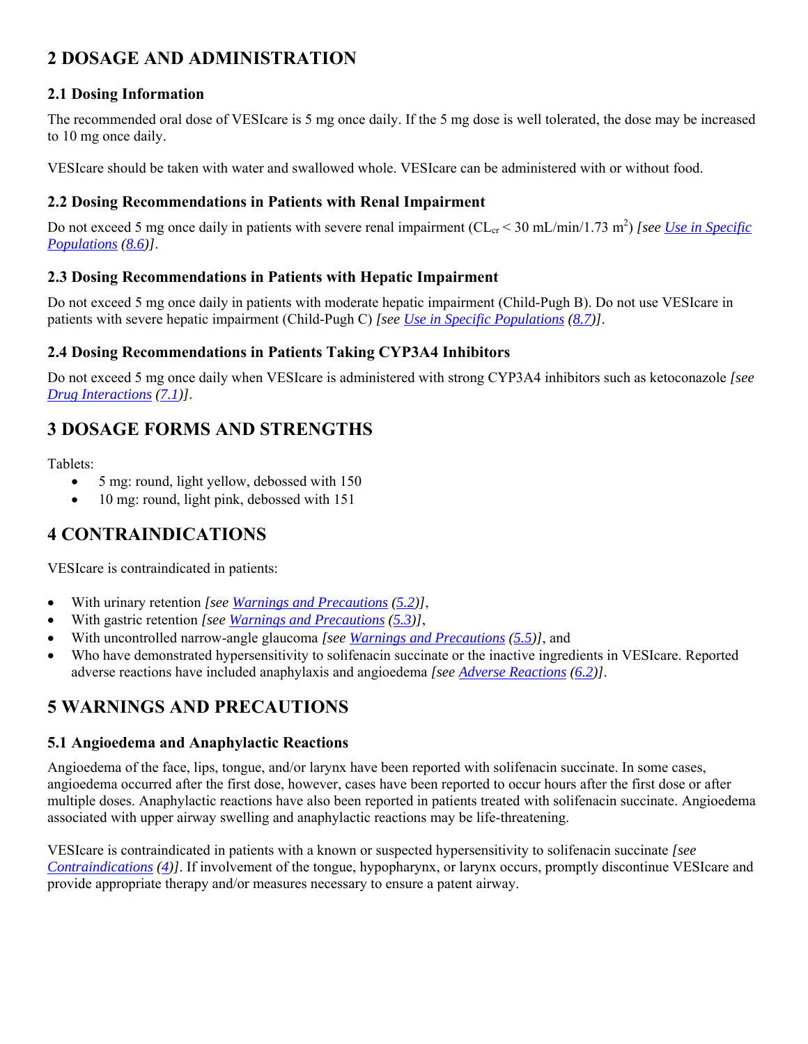# **2 DOSAGE AND ADMINISTRATION**

## **2.1 Dosing Information**

The recommended oral dose of VESIcare is 5 mg once daily. If the 5 mg dose is well tolerated, the dose may be increased to 10 mg once daily.

VESIcare should be taken with water and swallowed whole. VESIcare can be administered with or without food.

### **2.2 Dosing Recommendations in Patients with Renal Impairment**

Do not exceed 5 mg once daily in patients with severe renal impairment (CL<sub>cr</sub> < 30 mL/min/1.73 m<sup>2</sup>) [see Use in Specific *Populations (8.6)]*.

### **2.3 Dosing Recommendations in Patients with Hepatic Impairment**

Do not exceed 5 mg once daily in patients with moderate hepatic impairment (Child-Pugh B). Do not use VESIcare in patients with severe hepatic impairment (Child-Pugh C) *[see Use in Specific Populations (8.7)]*.

### **2.4 Dosing Recommendations in Patients Taking CYP3A4 Inhibitors**

Do not exceed 5 mg once daily when VESIcare is administered with strong CYP3A4 inhibitors such as ketoconazole *[see Drug Interactions (7.1)]*.

# **3 DOSAGE FORMS AND STRENGTHS**

Tablets:

- 5 mg: round, light yellow, debossed with 150
- 10 mg: round, light pink, debossed with 151

# **4 CONTRAINDICATIONS**

VESIcare is contraindicated in patients:

- With urinary retention *[see Warnings and Precautions (5.2)]*,
- With gastric retention *[see Warnings and Precautions (5.3)]*,
- With uncontrolled narrow-angle glaucoma *[see Warnings and Precautions (5.5)]*, and
- Who have demonstrated hypersensitivity to solifenacin succinate or the inactive ingredients in VESIcare. Reported adverse reactions have included anaphylaxis and angioedema *[see Adverse Reactions (6.2)]*.

## **5 WARNINGS AND PRECAUTIONS**

### **5.1 Angioedema and Anaphylactic Reactions**

Angioedema of the face, lips, tongue, and/or larynx have been reported with solifenacin succinate. In some cases, angioedema occurred after the first dose, however, cases have been reported to occur hours after the first dose or after multiple doses. Anaphylactic reactions have also been reported in patients treated with solifenacin succinate. Angioedema associated with upper airway swelling and anaphylactic reactions may be life-threatening.

VESIcare is contraindicated in patients with a known or suspected hypersensitivity to solifenacin succinate *[see Contraindications (4)]*. If involvement of the tongue, hypopharynx, or larynx occurs, promptly discontinue VESIcare and provide appropriate therapy and/or measures necessary to ensure a patent airway.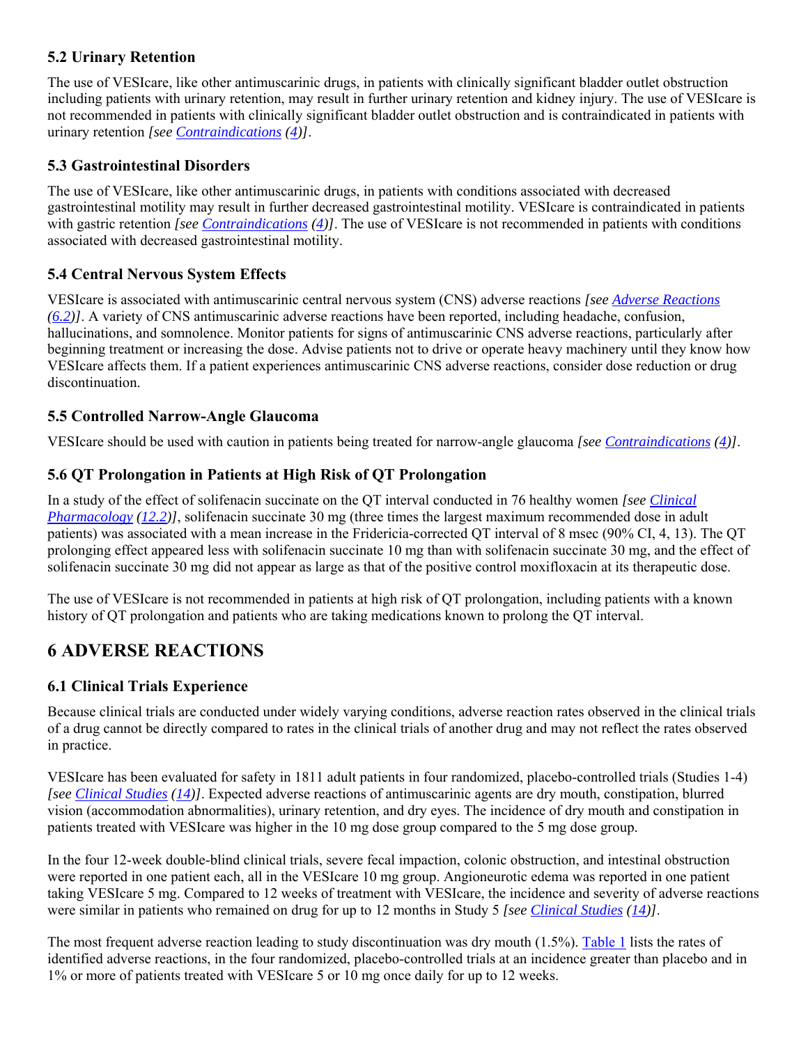### **5.2 Urinary Retention**

The use of VESIcare, like other antimuscarinic drugs, in patients with clinically significant bladder outlet obstruction including patients with urinary retention, may result in further urinary retention and kidney injury. The use of VESIcare is not recommended in patients with clinically significant bladder outlet obstruction and is contraindicated in patients with urinary retention *[see Contraindications (4)]*.

## **5.3 Gastrointestinal Disorders**

The use of VESIcare, like other antimuscarinic drugs, in patients with conditions associated with decreased gastrointestinal motility may result in further decreased gastrointestinal motility. VESIcare is contraindicated in patients with gastric retention *[see Contraindications (4)]*. The use of VESIcare is not recommended in patients with conditions associated with decreased gastrointestinal motility.

## **5.4 Central Nervous System Effects**

VESIcare is associated with antimuscarinic central nervous system (CNS) adverse reactions *[see Adverse Reactions (6.2)]*. A variety of CNS antimuscarinic adverse reactions have been reported, including headache, confusion, hallucinations, and somnolence. Monitor patients for signs of antimuscarinic CNS adverse reactions, particularly after beginning treatment or increasing the dose. Advise patients not to drive or operate heavy machinery until they know how VESIcare affects them. If a patient experiences antimuscarinic CNS adverse reactions, consider dose reduction or drug discontinuation.

### **5.5 Controlled Narrow-Angle Glaucoma**

VESIcare should be used with caution in patients being treated for narrow-angle glaucoma *[see Contraindications (4)]*.

### **5.6 QT Prolongation in Patients at High Risk of QT Prolongation**

In a study of the effect of solifenacin succinate on the QT interval conducted in 76 healthy women *[see Clinical Pharmacology (12.2)]*, solifenacin succinate 30 mg (three times the largest maximum recommended dose in adult patients) was associated with a mean increase in the Fridericia-corrected QT interval of 8 msec (90% CI, 4, 13). The QT prolonging effect appeared less with solifenacin succinate 10 mg than with solifenacin succinate 30 mg, and the effect of solifenacin succinate 30 mg did not appear as large as that of the positive control moxifloxacin at its therapeutic dose.

The use of VESIcare is not recommended in patients at high risk of QT prolongation, including patients with a known history of QT prolongation and patients who are taking medications known to prolong the QT interval.

# **6 ADVERSE REACTIONS**

## **6.1 Clinical Trials Experience**

Because clinical trials are conducted under widely varying conditions, adverse reaction rates observed in the clinical trials of a drug cannot be directly compared to rates in the clinical trials of another drug and may not reflect the rates observed in practice.

VESIcare has been evaluated for safety in 1811 adult patients in four randomized, placebo-controlled trials (Studies 1-4) *[see Clinical Studies (14)]*. Expected adverse reactions of antimuscarinic agents are dry mouth, constipation, blurred vision (accommodation abnormalities), urinary retention, and dry eyes. The incidence of dry mouth and constipation in patients treated with VESIcare was higher in the 10 mg dose group compared to the 5 mg dose group.

In the four 12-week double-blind clinical trials, severe fecal impaction, colonic obstruction, and intestinal obstruction were reported in one patient each, all in the VESIcare 10 mg group. Angioneurotic edema was reported in one patient taking VESIcare 5 mg. Compared to 12 weeks of treatment with VESIcare, the incidence and severity of adverse reactions were similar in patients who remained on drug for up to 12 months in Study 5 *[see Clinical Studies (14)]*.

The most frequent adverse reaction leading to study discontinuation was dry mouth (1.5%). Table 1 lists the rates of identified adverse reactions, in the four randomized, placebo-controlled trials at an incidence greater than placebo and in 1% or more of patients treated with VESIcare 5 or 10 mg once daily for up to 12 weeks.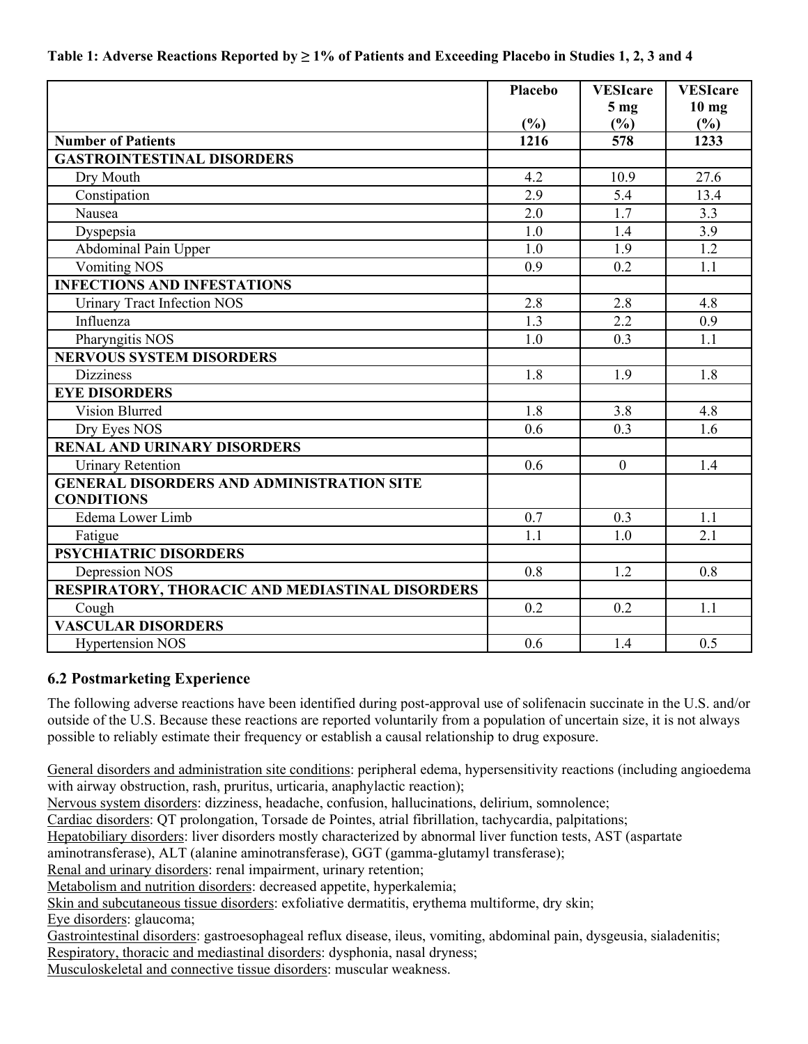|                                                  | <b>Placebo</b> | <b>VESIcare</b> | <b>VESIcare</b> |
|--------------------------------------------------|----------------|-----------------|-----------------|
|                                                  |                | 5 <sub>mg</sub> | $10$ mg         |
|                                                  | (%)            | (%)             | (%)             |
| <b>Number of Patients</b>                        | 1216           | 578             | 1233            |
| <b>GASTROINTESTINAL DISORDERS</b>                |                |                 |                 |
| Dry Mouth                                        | 4.2            | 10.9            | 27.6            |
| Constipation                                     | 2.9            | 5.4             | 13.4            |
| Nausea                                           | 2.0            | 1.7             | 3.3             |
| Dyspepsia                                        | 1.0            | 1.4             | 3.9             |
| Abdominal Pain Upper                             | 1.0            | 1.9             | 1.2             |
| <b>Vomiting NOS</b>                              | 0.9            | 0.2             | 1.1             |
| <b>INFECTIONS AND INFESTATIONS</b>               |                |                 |                 |
| <b>Urinary Tract Infection NOS</b>               | 2.8            | 2.8             | 4.8             |
| Influenza                                        | 1.3            | 2.2             | 0.9             |
| Pharyngitis NOS                                  | 1.0            | 0.3             | 1.1             |
| <b>NERVOUS SYSTEM DISORDERS</b>                  |                |                 |                 |
| <b>Dizziness</b>                                 | 1.8            | 1.9             | 1.8             |
| <b>EYE DISORDERS</b>                             |                |                 |                 |
| <b>Vision Blurred</b>                            | 1.8            | 3.8             | 4.8             |
| Dry Eyes NOS                                     | 0.6            | 0.3             | 1.6             |
| <b>RENAL AND URINARY DISORDERS</b>               |                |                 |                 |
| <b>Urinary Retention</b>                         | 0.6            | $\overline{0}$  | 1.4             |
| <b>GENERAL DISORDERS AND ADMINISTRATION SITE</b> |                |                 |                 |
| <b>CONDITIONS</b>                                |                |                 |                 |
| Edema Lower Limb                                 | 0.7            | 0.3             | 1.1             |
| Fatigue                                          | 1.1            | 1.0             | 2.1             |
| <b>PSYCHIATRIC DISORDERS</b>                     |                |                 |                 |
| Depression NOS                                   | 0.8            | 1.2             | 0.8             |
| RESPIRATORY, THORACIC AND MEDIASTINAL DISORDERS  |                |                 |                 |
| Cough                                            | 0.2            | 0.2             | 1.1             |
| <b>VASCULAR DISORDERS</b>                        |                |                 |                 |
| <b>Hypertension NOS</b>                          | 0.6            | 1.4             | 0.5             |

### **Table 1: Adverse Reactions Reported by ≥ 1% of Patients and Exceeding Placebo in Studies 1, 2, 3 and 4**

### **6.2 Postmarketing Experience**

The following adverse reactions have been identified during post-approval use of solifenacin succinate in the U.S. and/or outside of the U.S. Because these reactions are reported voluntarily from a population of uncertain size, it is not always possible to reliably estimate their frequency or establish a causal relationship to drug exposure.

General disorders and administration site conditions: peripheral edema, hypersensitivity reactions (including angioedema with airway obstruction, rash, pruritus, urticaria, anaphylactic reaction);

Nervous system disorders: dizziness, headache, confusion, hallucinations, delirium, somnolence;

Cardiac disorders: QT prolongation, Torsade de Pointes, atrial fibrillation, tachycardia, palpitations;

Hepatobiliary disorders: liver disorders mostly characterized by abnormal liver function tests, AST (aspartate

aminotransferase), ALT (alanine aminotransferase), GGT (gamma-glutamyl transferase);

Renal and urinary disorders: renal impairment, urinary retention;

Metabolism and nutrition disorders: decreased appetite, hyperkalemia;

Skin and subcutaneous tissue disorders: exfoliative dermatitis, erythema multiforme, dry skin;

Eye disorders: glaucoma;

Gastrointestinal disorders: gastroesophageal reflux disease, ileus, vomiting, abdominal pain, dysgeusia, sialadenitis; Respiratory, thoracic and mediastinal disorders: dysphonia, nasal dryness;

Musculoskeletal and connective tissue disorders: muscular weakness.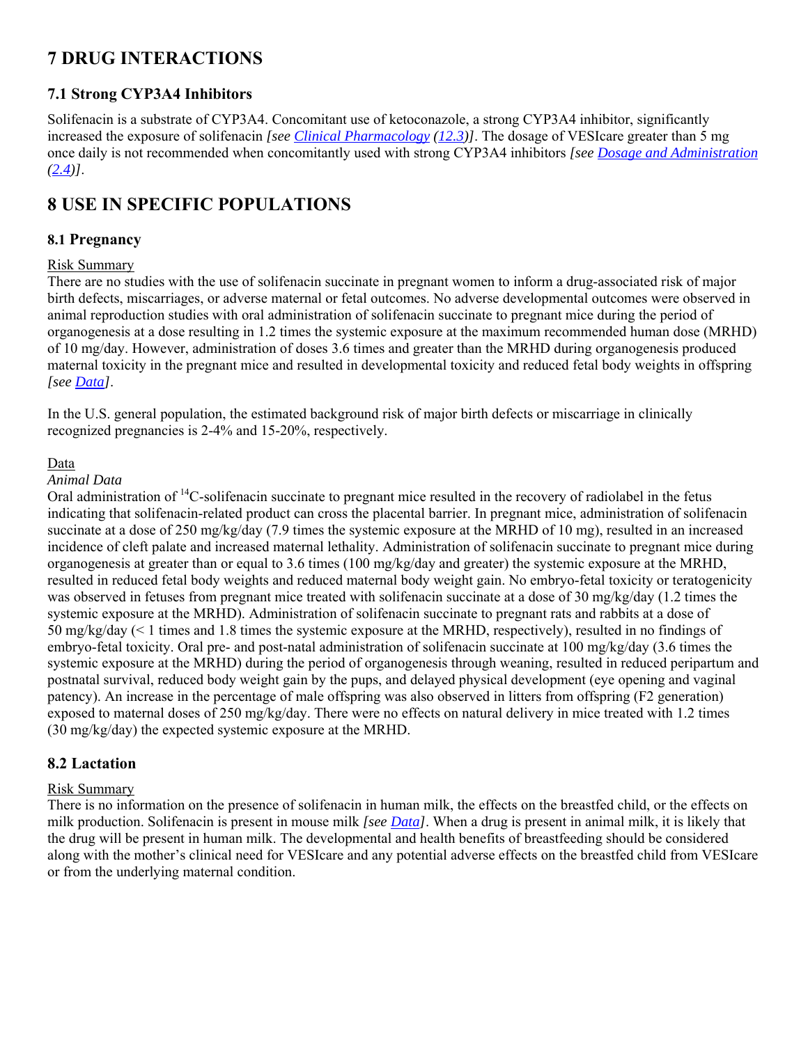# **7 DRUG INTERACTIONS**

## **7.1 Strong CYP3A4 Inhibitors**

Solifenacin is a substrate of CYP3A4. Concomitant use of ketoconazole, a strong CYP3A4 inhibitor, significantly increased the exposure of solifenacin *[see Clinical Pharmacology (12.3)]*. The dosage of VESIcare greater than 5 mg once daily is not recommended when concomitantly used with strong CYP3A4 inhibitors *[see Dosage and Administration (2.4)]*.

# **8 USE IN SPECIFIC POPULATIONS**

### **8.1 Pregnancy**

### Risk Summary

There are no studies with the use of solifenacin succinate in pregnant women to inform a drug-associated risk of major birth defects, miscarriages, or adverse maternal or fetal outcomes. No adverse developmental outcomes were observed in animal reproduction studies with oral administration of solifenacin succinate to pregnant mice during the period of organogenesis at a dose resulting in 1.2 times the systemic exposure at the maximum recommended human dose (MRHD) of 10 mg/day. However, administration of doses 3.6 times and greater than the MRHD during organogenesis produced maternal toxicity in the pregnant mice and resulted in developmental toxicity and reduced fetal body weights in offspring *[see Data]*.

In the U.S. general population, the estimated background risk of major birth defects or miscarriage in clinically recognized pregnancies is 2-4% and 15-20%, respectively.

### Data

### *Animal Data*

Oral administration of 14C-solifenacin succinate to pregnant mice resulted in the recovery of radiolabel in the fetus indicating that solifenacin-related product can cross the placental barrier. In pregnant mice, administration of solifenacin succinate at a dose of 250 mg/kg/day (7.9 times the systemic exposure at the MRHD of 10 mg), resulted in an increased incidence of cleft palate and increased maternal lethality. Administration of solifenacin succinate to pregnant mice during organogenesis at greater than or equal to 3.6 times (100 mg/kg/day and greater) the systemic exposure at the MRHD, resulted in reduced fetal body weights and reduced maternal body weight gain. No embryo-fetal toxicity or teratogenicity was observed in fetuses from pregnant mice treated with solifenacin succinate at a dose of 30 mg/kg/day (1.2 times the systemic exposure at the MRHD). Administration of solifenacin succinate to pregnant rats and rabbits at a dose of 50 mg/kg/day (< 1 times and 1.8 times the systemic exposure at the MRHD, respectively), resulted in no findings of embryo-fetal toxicity. Oral pre- and post-natal administration of solifenacin succinate at 100 mg/kg/day (3.6 times the systemic exposure at the MRHD) during the period of organogenesis through weaning, resulted in reduced peripartum and postnatal survival, reduced body weight gain by the pups, and delayed physical development (eye opening and vaginal patency). An increase in the percentage of male offspring was also observed in litters from offspring (F2 generation) exposed to maternal doses of 250 mg/kg/day. There were no effects on natural delivery in mice treated with 1.2 times (30 mg/kg/day) the expected systemic exposure at the MRHD.

### **8.2 Lactation**

### Risk Summary

There is no information on the presence of solifenacin in human milk, the effects on the breastfed child, or the effects on milk production. Solifenacin is present in mouse milk *[see Data]*. When a drug is present in animal milk, it is likely that the drug will be present in human milk. The developmental and health benefits of breastfeeding should be considered along with the mother's clinical need for VESIcare and any potential adverse effects on the breastfed child from VESIcare or from the underlying maternal condition.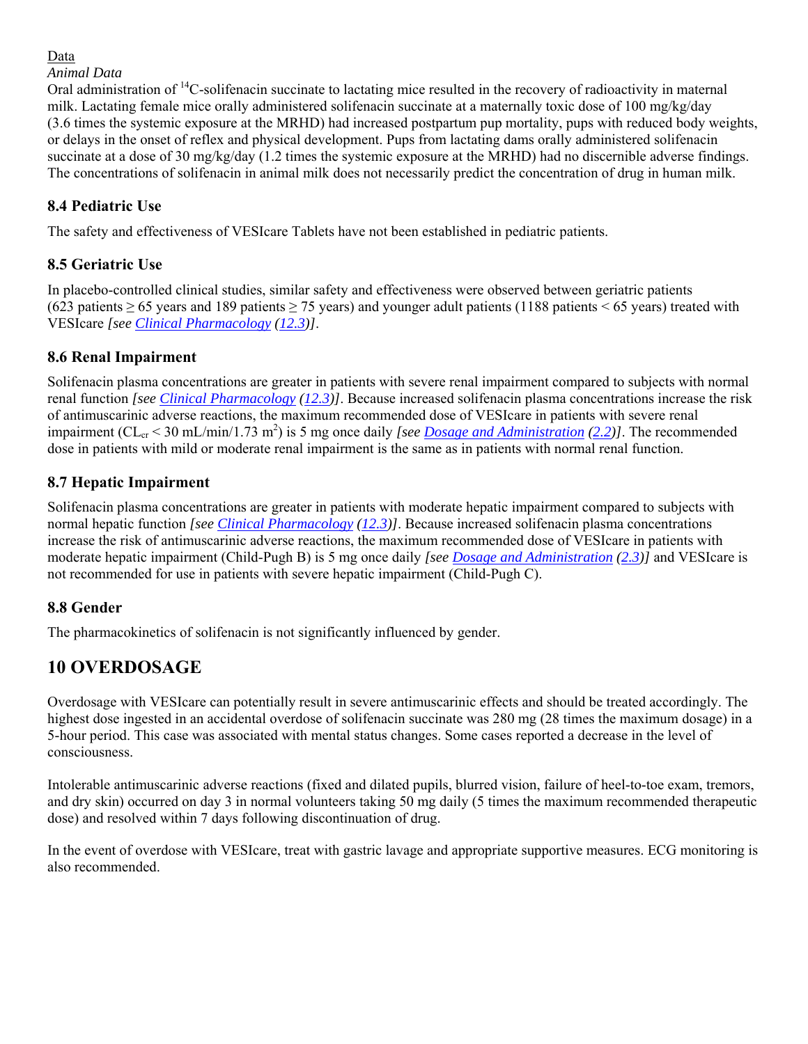## Data

### *Animal Data*

Oral administration of 14C-solifenacin succinate to lactating mice resulted in the recovery of radioactivity in maternal milk. Lactating female mice orally administered solifenacin succinate at a maternally toxic dose of 100 mg/kg/day (3.6 times the systemic exposure at the MRHD) had increased postpartum pup mortality, pups with reduced body weights, or delays in the onset of reflex and physical development. Pups from lactating dams orally administered solifenacin succinate at a dose of 30 mg/kg/day (1.2 times the systemic exposure at the MRHD) had no discernible adverse findings. The concentrations of solifenacin in animal milk does not necessarily predict the concentration of drug in human milk.

## **8.4 Pediatric Use**

The safety and effectiveness of VESIcare Tablets have not been established in pediatric patients.

### **8.5 Geriatric Use**

In placebo-controlled clinical studies, similar safety and effectiveness were observed between geriatric patients (623 patients  $\ge$  65 years and 189 patients  $\ge$  75 years) and younger adult patients (1188 patients < 65 years) treated with VESIcare *[see Clinical Pharmacology (12.3)]*.

### **8.6 Renal Impairment**

Solifenacin plasma concentrations are greater in patients with severe renal impairment compared to subjects with normal renal function *[see Clinical Pharmacology (12.3)]*. Because increased solifenacin plasma concentrations increase the risk of antimuscarinic adverse reactions, the maximum recommended dose of VESIcare in patients with severe renal impairment (CL<sub>cr</sub> < 30 mL/min/1.73 m<sup>2</sup>) is 5 mg once daily *[see <u>Dosage and Administration</u> (2.2)]*. The recommended dose in patients with mild or moderate renal impairment is the same as in patients with normal renal function.

### **8.7 Hepatic Impairment**

Solifenacin plasma concentrations are greater in patients with moderate hepatic impairment compared to subjects with normal hepatic function *[see Clinical Pharmacology (12.3)]*. Because increased solifenacin plasma concentrations increase the risk of antimuscarinic adverse reactions, the maximum recommended dose of VESIcare in patients with moderate hepatic impairment (Child-Pugh B) is 5 mg once daily *[see Dosage and Administration (2.3)]* and VESIcare is not recommended for use in patients with severe hepatic impairment (Child-Pugh C).

### **8.8 Gender**

The pharmacokinetics of solifenacin is not significantly influenced by gender.

## **10 OVERDOSAGE**

Overdosage with VESIcare can potentially result in severe antimuscarinic effects and should be treated accordingly. The highest dose ingested in an accidental overdose of solifenacin succinate was 280 mg (28 times the maximum dosage) in a 5-hour period. This case was associated with mental status changes. Some cases reported a decrease in the level of consciousness.

Intolerable antimuscarinic adverse reactions (fixed and dilated pupils, blurred vision, failure of heel-to-toe exam, tremors, and dry skin) occurred on day 3 in normal volunteers taking 50 mg daily (5 times the maximum recommended therapeutic dose) and resolved within 7 days following discontinuation of drug.

In the event of overdose with VESIcare, treat with gastric lavage and appropriate supportive measures. ECG monitoring is also recommended.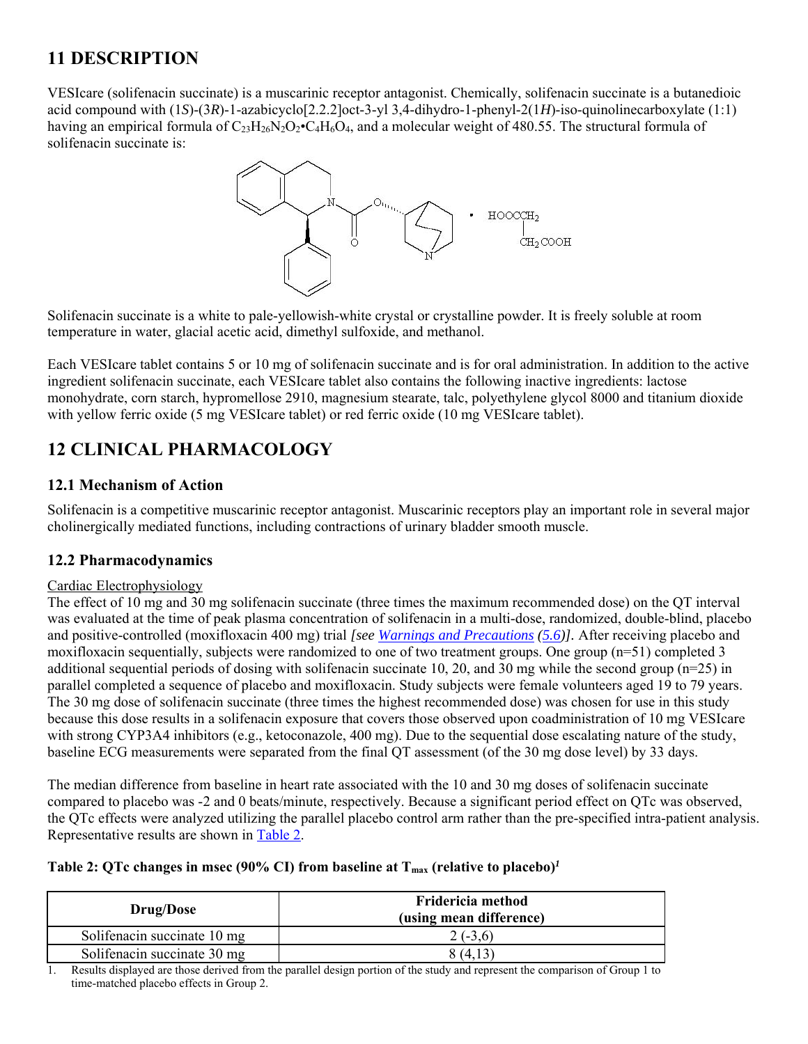# **11 DESCRIPTION**

VESIcare (solifenacin succinate) is a muscarinic receptor antagonist. Chemically, solifenacin succinate is a butanedioic acid compound with (1*S*)-(3*R*)-1-azabicyclo[2.2.2]oct-3-yl 3,4-dihydro-1-phenyl-2(1*H*)-iso-quinolinecarboxylate (1:1) having an empirical formula of  $C_{23}H_{26}N_{2}O_{2}$ •C<sub>4</sub>H<sub>6</sub>O<sub>4</sub>, and a molecular weight of 480.55. The structural formula of solifenacin succinate is:



Solifenacin succinate is a white to pale-yellowish-white crystal or crystalline powder. It is freely soluble at room temperature in water, glacial acetic acid, dimethyl sulfoxide, and methanol.

Each VESIcare tablet contains 5 or 10 mg of solifenacin succinate and is for oral administration. In addition to the active ingredient solifenacin succinate, each VESIcare tablet also contains the following inactive ingredients: lactose monohydrate, corn starch, hypromellose 2910, magnesium stearate, talc, polyethylene glycol 8000 and titanium dioxide with yellow ferric oxide (5 mg VESIcare tablet) or red ferric oxide (10 mg VESIcare tablet).

# **12 CLINICAL PHARMACOLOGY**

### **12.1 Mechanism of Action**

Solifenacin is a competitive muscarinic receptor antagonist. Muscarinic receptors play an important role in several major cholinergically mediated functions, including contractions of urinary bladder smooth muscle.

## **12.2 Pharmacodynamics**

### Cardiac Electrophysiology

The effect of 10 mg and 30 mg solifenacin succinate (three times the maximum recommended dose) on the QT interval was evaluated at the time of peak plasma concentration of solifenacin in a multi-dose, randomized, double-blind, placebo and positive-controlled (moxifloxacin 400 mg) trial *[see Warnings and Precautions (5.6)].* After receiving placebo and moxifloxacin sequentially, subjects were randomized to one of two treatment groups. One group (n=51) completed 3 additional sequential periods of dosing with solifenacin succinate 10, 20, and 30 mg while the second group ( $n=25$ ) in parallel completed a sequence of placebo and moxifloxacin. Study subjects were female volunteers aged 19 to 79 years. The 30 mg dose of solifenacin succinate (three times the highest recommended dose) was chosen for use in this study because this dose results in a solifenacin exposure that covers those observed upon coadministration of 10 mg VESIcare with strong CYP3A4 inhibitors (e.g., ketoconazole, 400 mg). Due to the sequential dose escalating nature of the study, baseline ECG measurements were separated from the final QT assessment (of the 30 mg dose level) by 33 days.

The median difference from baseline in heart rate associated with the 10 and 30 mg doses of solifenacin succinate compared to placebo was -2 and 0 beats/minute, respectively. Because a significant period effect on QTc was observed, the QTc effects were analyzed utilizing the parallel placebo control arm rather than the pre-specified intra-patient analysis. Representative results are shown in Table 2.

### **Table 2: QTc changes in msec (90% CI) from baseline at**  $T_{\text{max}}$  **(relative to placebo)<sup>***1***</sup>**

| <b>Drug/Dose</b>            | Fridericia method<br>(using mean difference) |
|-----------------------------|----------------------------------------------|
| Solifenacin succinate 10 mg | $2(-3,6)$                                    |
| Solifenacin succinate 30 mg | 8 (4,1,                                      |

1. Results displayed are those derived from the parallel design portion of the study and represent the comparison of Group 1 to time-matched placebo effects in Group 2.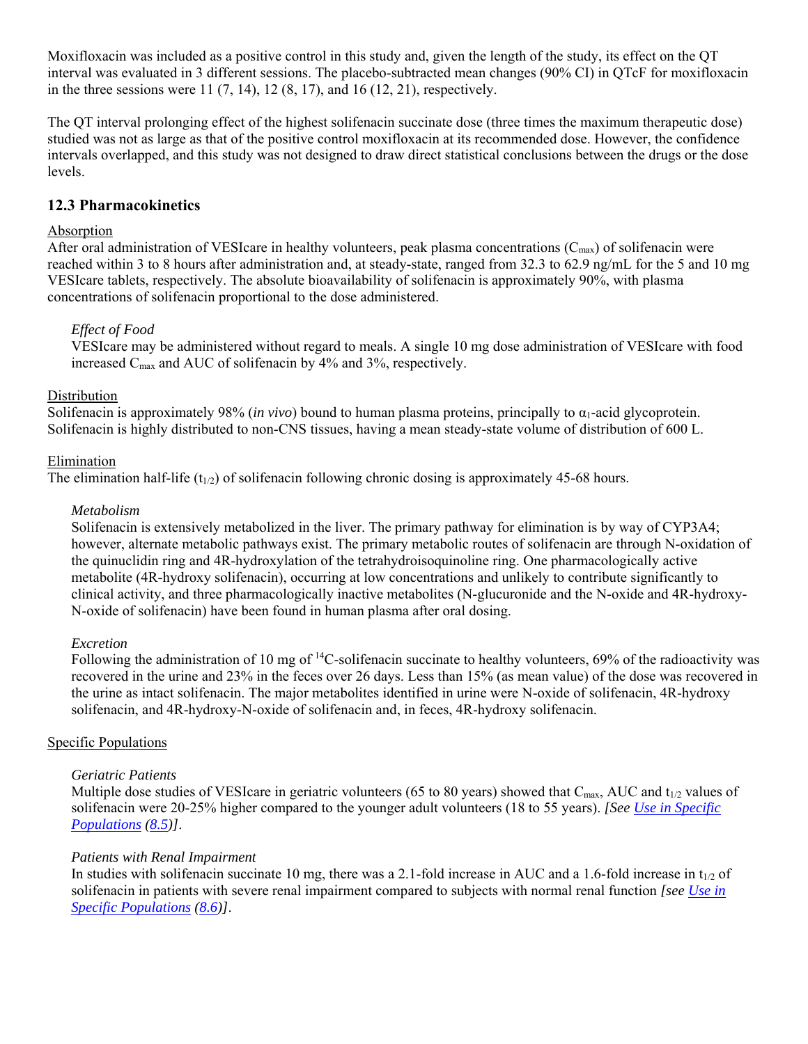Moxifloxacin was included as a positive control in this study and, given the length of the study, its effect on the QT interval was evaluated in 3 different sessions. The placebo-subtracted mean changes (90% CI) in QTcF for moxifloxacin in the three sessions were  $11 (7, 14)$ ,  $12 (8, 17)$ , and  $16 (12, 21)$ , respectively.

The QT interval prolonging effect of the highest solifenacin succinate dose (three times the maximum therapeutic dose) studied was not as large as that of the positive control moxifloxacin at its recommended dose. However, the confidence intervals overlapped, and this study was not designed to draw direct statistical conclusions between the drugs or the dose levels.

### **12.3 Pharmacokinetics**

### Absorption

After oral administration of VESIcare in healthy volunteers, peak plasma concentrations  $(C_{\text{max}})$  of solifenacin were reached within 3 to 8 hours after administration and, at steady-state, ranged from 32.3 to 62.9 ng/mL for the 5 and 10 mg VESIcare tablets, respectively. The absolute bioavailability of solifenacin is approximately 90%, with plasma concentrations of solifenacin proportional to the dose administered.

### *Effect of Food*

VESIcare may be administered without regard to meals. A single 10 mg dose administration of VESIcare with food increased C<sub>max</sub> and AUC of solifenacin by 4% and 3%, respectively.

### **Distribution**

Solifenacin is approximately 98% (*in vivo*) bound to human plasma proteins, principally to  $\alpha_1$ -acid glycoprotein. Solifenacin is highly distributed to non-CNS tissues, having a mean steady-state volume of distribution of 600 L.

### Elimination

The elimination half-life  $(t_{1/2})$  of solifenacin following chronic dosing is approximately 45-68 hours.

### *Metabolism*

Solifenacin is extensively metabolized in the liver. The primary pathway for elimination is by way of CYP3A4; however, alternate metabolic pathways exist. The primary metabolic routes of solifenacin are through N-oxidation of the quinuclidin ring and 4R-hydroxylation of the tetrahydroisoquinoline ring. One pharmacologically active metabolite (4R-hydroxy solifenacin), occurring at low concentrations and unlikely to contribute significantly to clinical activity, and three pharmacologically inactive metabolites (N-glucuronide and the N-oxide and 4R-hydroxy-N-oxide of solifenacin) have been found in human plasma after oral dosing.

### *Excretion*

Following the administration of 10 mg of  $^{14}$ C-solifenacin succinate to healthy volunteers, 69% of the radioactivity was recovered in the urine and 23% in the feces over 26 days. Less than 15% (as mean value) of the dose was recovered in the urine as intact solifenacin. The major metabolites identified in urine were N-oxide of solifenacin, 4R-hydroxy solifenacin, and 4R-hydroxy-N-oxide of solifenacin and, in feces, 4R-hydroxy solifenacin.

### Specific Populations

### *Geriatric Patients*

Multiple dose studies of VESIcare in geriatric volunteers (65 to 80 years) showed that  $C_{\text{max}}$ , AUC and  $t_{1/2}$  values of solifenacin were 20-25% higher compared to the younger adult volunteers (18 to 55 years). *[See Use in Specific Populations (8.5)]*.

### *Patients with Renal Impairment*

In studies with solifenacin succinate 10 mg, there was a 2.1-fold increase in AUC and a 1.6-fold increase in  $t_{1/2}$  of solifenacin in patients with severe renal impairment compared to subjects with normal renal function *[see Use in Specific Populations (8.6)]*.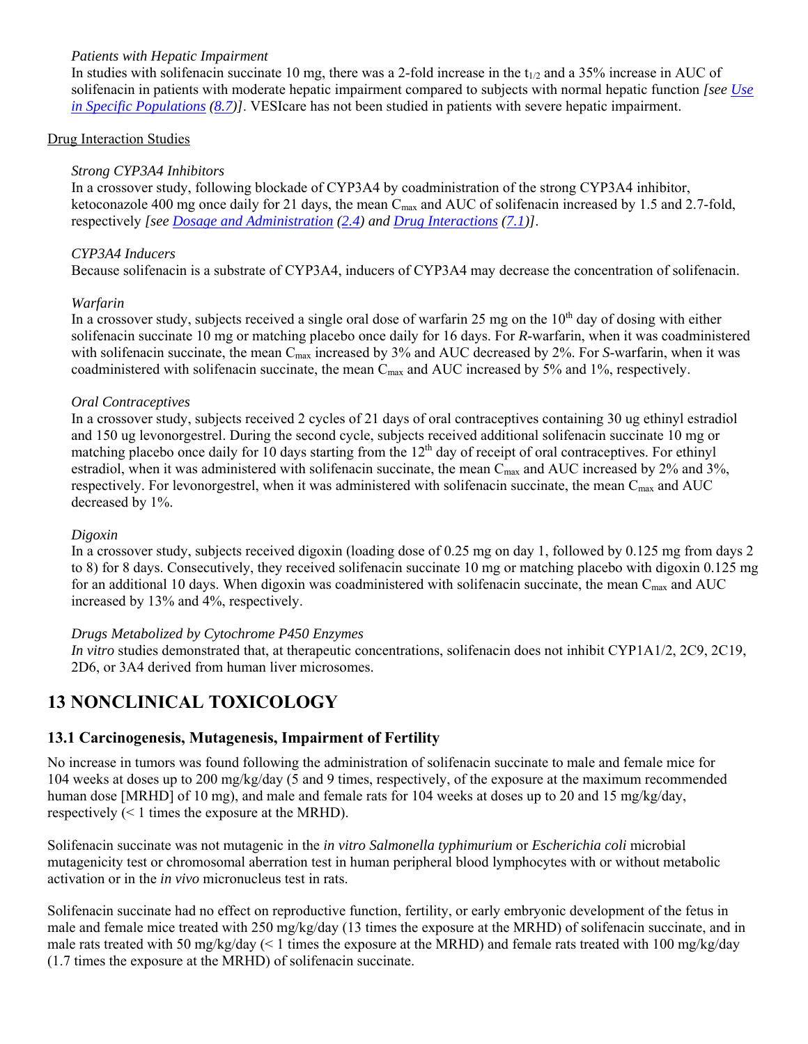### *Patients with Hepatic Impairment*

In studies with solifenacin succinate 10 mg, there was a 2-fold increase in the  $t_{1/2}$  and a 35% increase in AUC of solifenacin in patients with moderate hepatic impairment compared to subjects with normal hepatic function *[see Use in Specific Populations (8.7)]*. VESIcare has not been studied in patients with severe hepatic impairment.

### Drug Interaction Studies

### *Strong CYP3A4 Inhibitors*

In a crossover study, following blockade of CYP3A4 by coadministration of the strong CYP3A4 inhibitor, ketoconazole 400 mg once daily for 21 days, the mean  $C_{\text{max}}$  and AUC of solifenacin increased by 1.5 and 2.7-fold, respectively *[see Dosage and Administration (2.4) and Drug Interactions (7.1)]*.

### *CYP3A4 Inducers*

Because solifenacin is a substrate of CYP3A4, inducers of CYP3A4 may decrease the concentration of solifenacin.

### *Warfarin*

In a crossover study, subjects received a single oral dose of warfarin 25 mg on the  $10<sup>th</sup>$  day of dosing with either solifenacin succinate 10 mg or matching placebo once daily for 16 days. For *R*-warfarin, when it was coadministered with solifenacin succinate, the mean C<sub>max</sub> increased by 3% and AUC decreased by 2%. For *S*-warfarin, when it was coadministered with solifenacin succinate, the mean C<sub>max</sub> and AUC increased by 5% and 1%, respectively.

### *Oral Contraceptives*

In a crossover study, subjects received 2 cycles of 21 days of oral contraceptives containing 30 ug ethinyl estradiol and 150 ug levonorgestrel. During the second cycle, subjects received additional solifenacin succinate 10 mg or matching placebo once daily for 10 days starting from the  $12<sup>th</sup>$  day of receipt of oral contraceptives. For ethinyl estradiol, when it was administered with solifenacin succinate, the mean  $C_{\text{max}}$  and AUC increased by 2% and 3%, respectively. For levonorgestrel, when it was administered with solifenacin succinate, the mean C<sub>max</sub> and AUC decreased by 1%.

### *Digoxin*

In a crossover study, subjects received digoxin (loading dose of 0.25 mg on day 1, followed by 0.125 mg from days 2 to 8) for 8 days. Consecutively, they received solifenacin succinate 10 mg or matching placebo with digoxin 0.125 mg for an additional 10 days. When digoxin was coadministered with solifenacin succinate, the mean  $C_{\text{max}}$  and AUC increased by 13% and 4%, respectively.

### *Drugs Metabolized by Cytochrome P450 Enzymes*

*In vitro* studies demonstrated that, at therapeutic concentrations, solifenacin does not inhibit CYP1A1/2, 2C9, 2C19, 2D6, or 3A4 derived from human liver microsomes.

## **13 NONCLINICAL TOXICOLOGY**

### **13.1 Carcinogenesis, Mutagenesis, Impairment of Fertility**

No increase in tumors was found following the administration of solifenacin succinate to male and female mice for 104 weeks at doses up to 200 mg/kg/day (5 and 9 times, respectively, of the exposure at the maximum recommended human dose [MRHD] of 10 mg), and male and female rats for 104 weeks at doses up to 20 and 15 mg/kg/day, respectively (< 1 times the exposure at the MRHD).

Solifenacin succinate was not mutagenic in the *in vitro Salmonella typhimurium* or *Escherichia coli* microbial mutagenicity test or chromosomal aberration test in human peripheral blood lymphocytes with or without metabolic activation or in the *in vivo* micronucleus test in rats.

Solifenacin succinate had no effect on reproductive function, fertility, or early embryonic development of the fetus in male and female mice treated with 250 mg/kg/day (13 times the exposure at the MRHD) of solifenacin succinate, and in male rats treated with 50 mg/kg/day (< 1 times the exposure at the MRHD) and female rats treated with 100 mg/kg/day (1.7 times the exposure at the MRHD) of solifenacin succinate.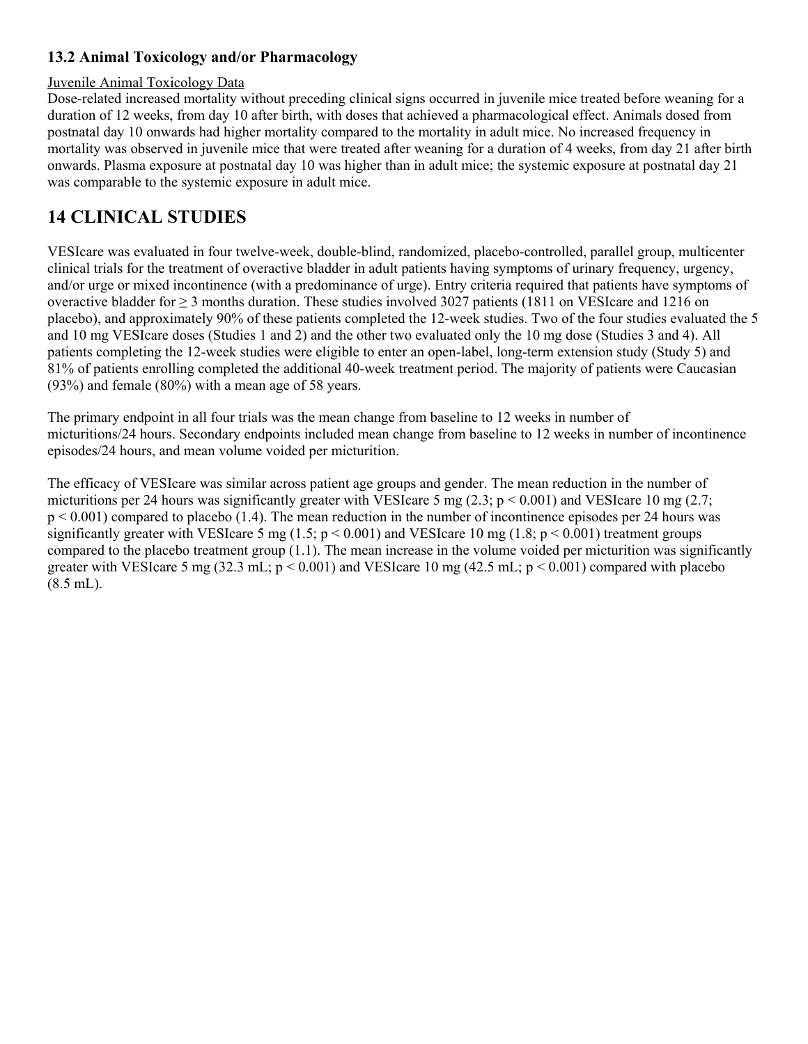## **13.2 Animal Toxicology and/or Pharmacology**

### Juvenile Animal Toxicology Data

Dose-related increased mortality without preceding clinical signs occurred in juvenile mice treated before weaning for a duration of 12 weeks, from day 10 after birth, with doses that achieved a pharmacological effect. Animals dosed from postnatal day 10 onwards had higher mortality compared to the mortality in adult mice. No increased frequency in mortality was observed in juvenile mice that were treated after weaning for a duration of 4 weeks, from day 21 after birth onwards. Plasma exposure at postnatal day 10 was higher than in adult mice; the systemic exposure at postnatal day 21 was comparable to the systemic exposure in adult mice.

## **14 CLINICAL STUDIES**

VESIcare was evaluated in four twelve-week, double-blind, randomized, placebo-controlled, parallel group, multicenter clinical trials for the treatment of overactive bladder in adult patients having symptoms of urinary frequency, urgency, and/or urge or mixed incontinence (with a predominance of urge). Entry criteria required that patients have symptoms of overactive bladder for  $\geq$  3 months duration. These studies involved 3027 patients (1811 on VESIcare and 1216 on placebo), and approximately 90% of these patients completed the 12-week studies. Two of the four studies evaluated the 5 and 10 mg VESIcare doses (Studies 1 and 2) and the other two evaluated only the 10 mg dose (Studies 3 and 4). All patients completing the 12-week studies were eligible to enter an open-label, long-term extension study (Study 5) and 81% of patients enrolling completed the additional 40-week treatment period. The majority of patients were Caucasian (93%) and female (80%) with a mean age of 58 years.

The primary endpoint in all four trials was the mean change from baseline to 12 weeks in number of micturitions/24 hours. Secondary endpoints included mean change from baseline to 12 weeks in number of incontinence episodes/24 hours, and mean volume voided per micturition.

The efficacy of VESIcare was similar across patient age groups and gender. The mean reduction in the number of micturitions per 24 hours was significantly greater with VESIcare 5 mg  $(2.3; p < 0.001)$  and VESIcare 10 mg  $(2.7;$ p < 0.001) compared to placebo (1.4). The mean reduction in the number of incontinence episodes per 24 hours was significantly greater with VESIcare 5 mg (1.5;  $p < 0.001$ ) and VESIcare 10 mg (1.8;  $p < 0.001$ ) treatment groups compared to the placebo treatment group (1.1). The mean increase in the volume voided per micturition was significantly greater with VESIcare 5 mg (32.3 mL;  $p < 0.001$ ) and VESIcare 10 mg (42.5 mL;  $p < 0.001$ ) compared with placebo (8.5 mL).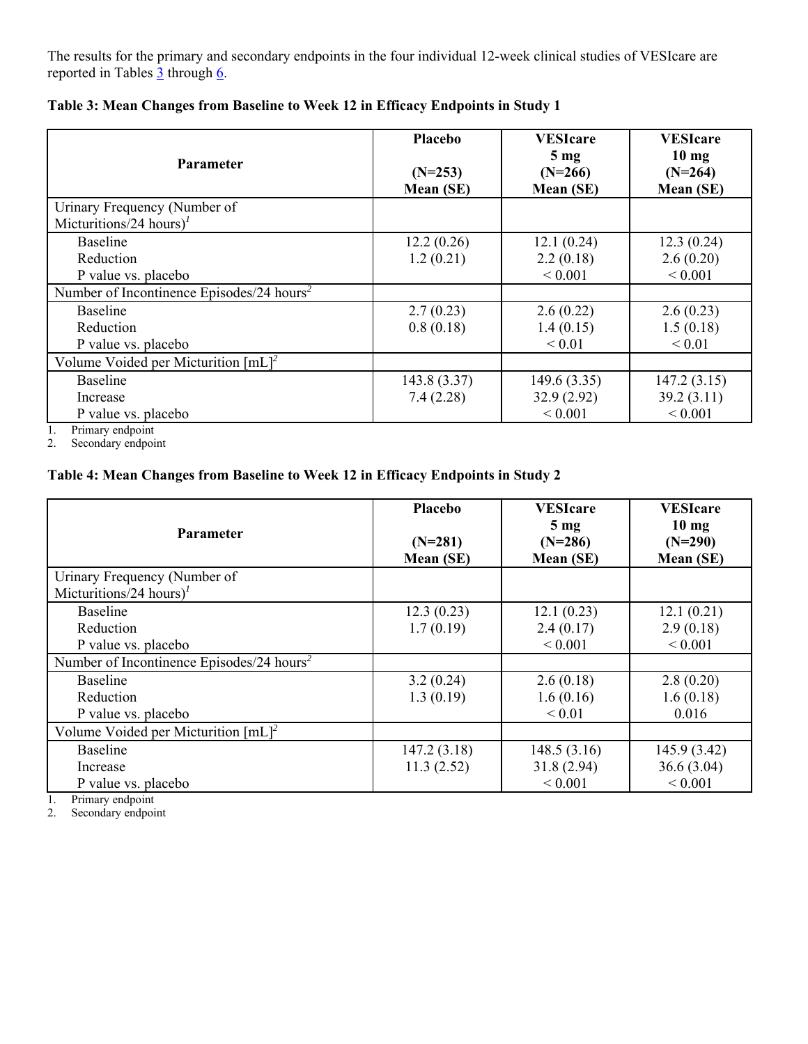The results for the primary and secondary endpoints in the four individual 12-week clinical studies of VESIcare are reported in Tables 3 through 6.

| <b>Parameter</b>                                                    | Placebo<br>$(N=253)$<br>Mean (SE) | <b>VESIcare</b><br>$5 \text{ mg}$<br>$(N=266)$<br>Mean (SE) | <b>VESIcare</b><br>$10 \text{ mg}$<br>$(N=264)$<br>Mean (SE) |
|---------------------------------------------------------------------|-----------------------------------|-------------------------------------------------------------|--------------------------------------------------------------|
| Urinary Frequency (Number of<br>Micturitions/24 hours) <sup>1</sup> |                                   |                                                             |                                                              |
| <b>Baseline</b>                                                     | 12.2(0.26)                        | 12.1(0.24)                                                  | 12.3(0.24)                                                   |
| Reduction                                                           | 1.2(0.21)                         | 2.2(0.18)                                                   | 2.6(0.20)                                                    |
| P value vs. placebo                                                 |                                   | ${}< 0.001$                                                 | ${}< 0.001$                                                  |
| Number of Incontinence Episodes/24 hours <sup>2</sup>               |                                   |                                                             |                                                              |
| Baseline                                                            | 2.7(0.23)                         | 2.6(0.22)                                                   | 2.6(0.23)                                                    |
| Reduction                                                           | 0.8(0.18)                         | 1.4(0.15)                                                   | 1.5(0.18)                                                    |
| P value vs. placebo                                                 |                                   | ${}< 0.01$                                                  | ${}< 0.01$                                                   |
| Volume Voided per Micturition $[mL]^2$                              |                                   |                                                             |                                                              |
| Baseline                                                            | 143.8 (3.37)                      | 149.6(3.35)                                                 | 147.2(3.15)                                                  |
| Increase                                                            | 7.4(2.28)                         | 32.9(2.92)                                                  | 39.2(3.11)                                                   |
| P value vs. placebo<br>$\mathbf{r}$ .                               |                                   | ${}< 0.001$                                                 | ${}< 0.001$                                                  |

**Table 3: Mean Changes from Baseline to Week 12 in Efficacy Endpoints in Study 1** 

1. Primary endpoint

2. Secondary endpoint

### **Table 4: Mean Changes from Baseline to Week 12 in Efficacy Endpoints in Study 2**

| <b>Parameter</b>                                                                    | <b>Placebo</b><br>$(N=281)$<br>Mean (SE) | <b>VESIcare</b><br>5 <sub>mg</sub><br>$(N=286)$<br>Mean (SE) | <b>VESIcare</b><br>$10 \text{ mg}$<br>$(N=290)$<br>Mean (SE) |
|-------------------------------------------------------------------------------------|------------------------------------------|--------------------------------------------------------------|--------------------------------------------------------------|
| Urinary Frequency (Number of<br>Micturitions/24 hours) <sup>1</sup>                 |                                          |                                                              |                                                              |
| Baseline<br>Reduction<br>P value vs. placebo                                        | 12.3(0.23)<br>1.7(0.19)                  | 12.1(0.23)<br>2.4(0.17)<br>${}< 0.001$                       | 12.1(0.21)<br>2.9(0.18)<br>${}< 0.001$                       |
| Number of Incontinence Episodes/24 hours <sup>2</sup>                               |                                          |                                                              |                                                              |
| <b>Baseline</b><br>Reduction<br>P value vs. placebo                                 | 3.2(0.24)<br>1.3(0.19)                   | 2.6(0.18)<br>1.6(0.16)<br>${}< 0.01$                         | 2.8(0.20)<br>1.6(0.18)<br>0.016                              |
| Volume Voided per Micturition $[mL]^2$                                              |                                          |                                                              |                                                              |
| <b>Baseline</b><br>Increase<br>P value vs. placebo<br>$D_{\text{minorm}}$ and noint | 147.2(3.18)<br>11.3(2.52)                | 148.5(3.16)<br>31.8(2.94)<br>${}< 0.001$                     | 145.9(3.42)<br>36.6(3.04)<br>${}< 0.001$                     |

1. Primary endpoint<br>2. Secondary endpoint

Secondary endpoint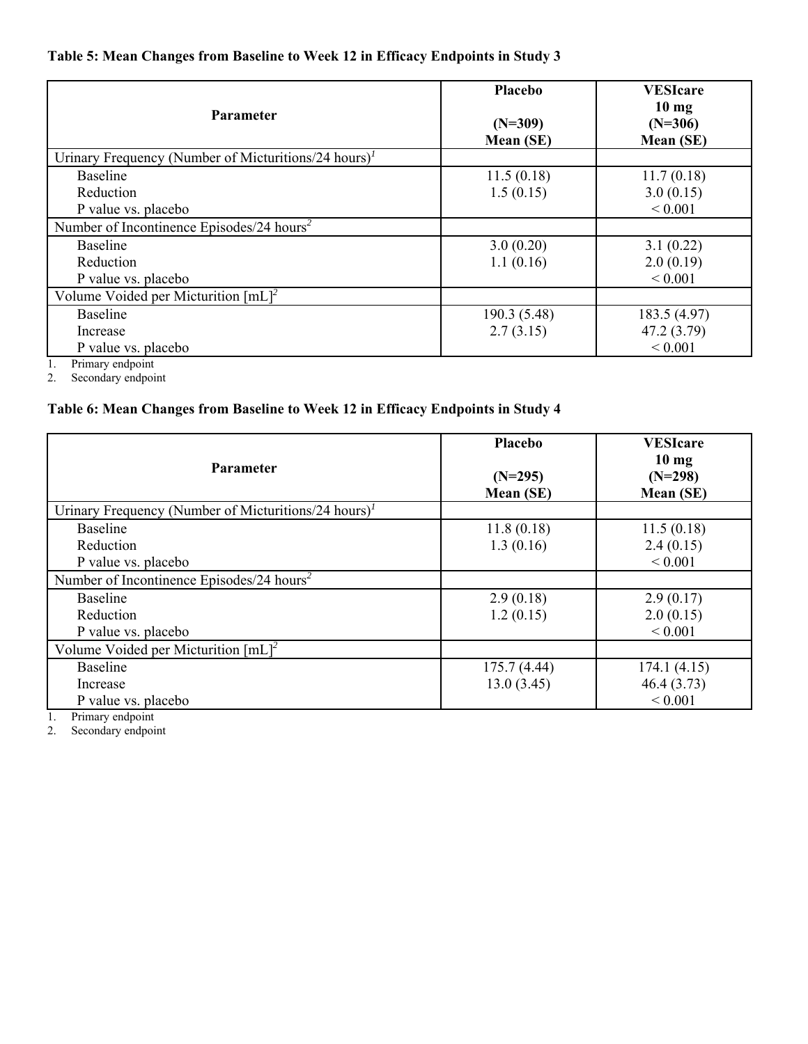## **Table 5: Mean Changes from Baseline to Week 12 in Efficacy Endpoints in Study 3**

| Placebo<br>$(N=309)$<br>Mean (SE) | <b>VESIcare</b><br>10 <sub>mg</sub><br>$(N=306)$<br>Mean (SE) |
|-----------------------------------|---------------------------------------------------------------|
|                                   |                                                               |
| 11.5(0.18)                        | 11.7(0.18)                                                    |
| 1.5(0.15)                         | 3.0(0.15)                                                     |
|                                   | ${}< 0.001$                                                   |
|                                   |                                                               |
| 3.0(0.20)                         | 3.1(0.22)                                                     |
| 1.1(0.16)                         | 2.0(0.19)                                                     |
|                                   | ${}< 0.001$                                                   |
|                                   |                                                               |
| 190.3 (5.48)                      | 183.5 (4.97)                                                  |
| 2.7(3.15)                         | 47.2 (3.79)                                                   |
|                                   | ${}< 0.001$                                                   |
|                                   |                                                               |

1. Primary endpoint

2. Secondary endpoint

### **Table 6: Mean Changes from Baseline to Week 12 in Efficacy Endpoints in Study 4**

| <b>Parameter</b>                                                                                                  | Placebo<br>$(N=295)$<br>Mean (SE) | <b>VESIcare</b><br>10 <sub>mg</sub><br>$(N=298)$<br>Mean (SE) |
|-------------------------------------------------------------------------------------------------------------------|-----------------------------------|---------------------------------------------------------------|
| Urinary Frequency (Number of Micturitions/24 hours) <sup><math>1</math></sup>                                     |                                   |                                                               |
| Baseline                                                                                                          | 11.8(0.18)                        | 11.5(0.18)                                                    |
| Reduction                                                                                                         | 1.3(0.16)                         | 2.4(0.15)                                                     |
| P value vs. placebo                                                                                               |                                   | ${}< 0.001$                                                   |
| Number of Incontinence Episodes/24 hours <sup>2</sup>                                                             |                                   |                                                               |
| Baseline                                                                                                          | 2.9(0.18)                         | 2.9(0.17)                                                     |
| Reduction                                                                                                         | 1.2(0.15)                         | 2.0(0.15)                                                     |
| P value vs. placebo                                                                                               |                                   | ${}< 0.001$                                                   |
| Volume Voided per Micturition $[mL]^2$                                                                            |                                   |                                                               |
| <b>Baseline</b>                                                                                                   | 175.7 (4.44)                      | 174.1(4.15)                                                   |
| Increase                                                                                                          | 13.0(3.45)                        | 46.4(3.73)                                                    |
| P value vs. placebo<br>$\mathbf{n}$ $\mathbf{r}$ $\mathbf{r}$ $\mathbf{r}$ $\mathbf{r}$ $\mathbf{r}$ $\mathbf{r}$ |                                   | ${}< 0.001$                                                   |

1. Primary endpoint

2. Secondary endpoint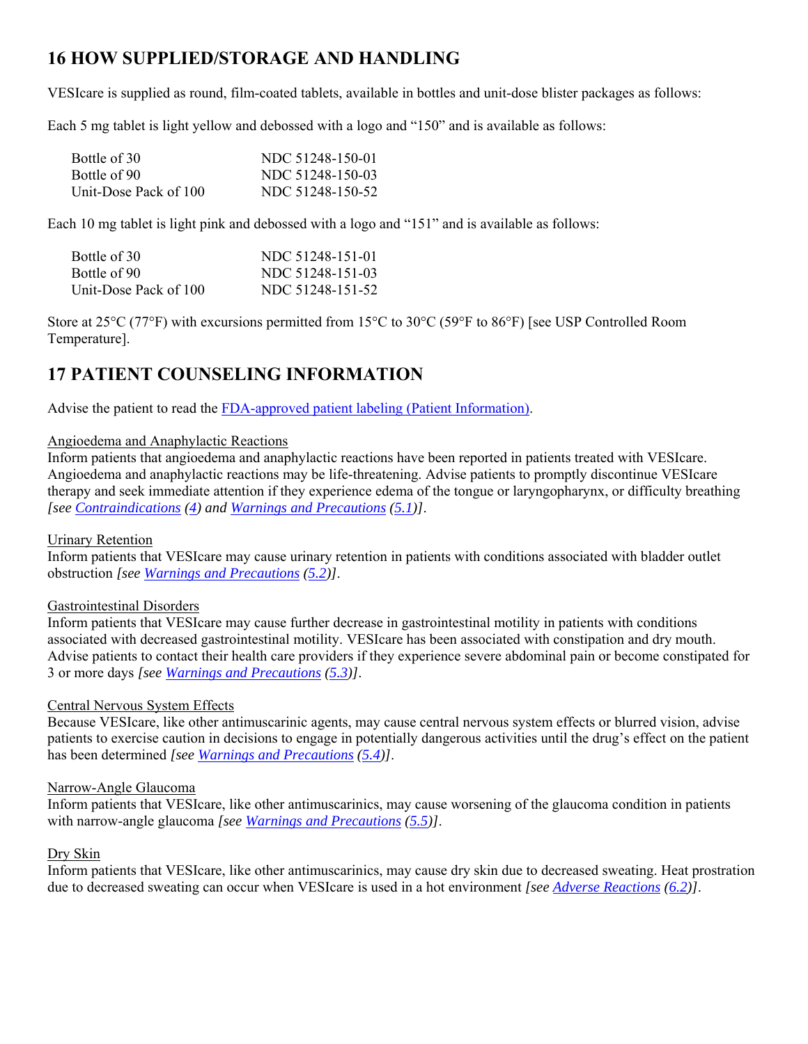# **16 HOW SUPPLIED/STORAGE AND HANDLING**

VESIcare is supplied as round, film-coated tablets, available in bottles and unit-dose blister packages as follows:

Each 5 mg tablet is light yellow and debossed with a logo and "150" and is available as follows:

| Bottle of 30          | NDC 51248-150-01 |
|-----------------------|------------------|
| Bottle of 90          | NDC 51248-150-03 |
| Unit-Dose Pack of 100 | NDC 51248-150-52 |

Each 10 mg tablet is light pink and debossed with a logo and "151" and is available as follows:

| Bottle of 30          | NDC 51248-151-01 |
|-----------------------|------------------|
| Bottle of 90          | NDC 51248-151-03 |
| Unit-Dose Pack of 100 | NDC 51248-151-52 |

Store at 25°C (77°F) with excursions permitted from 15°C to 30°C (59°F to 86°F) [see USP Controlled Room Temperature].

# **17 PATIENT COUNSELING INFORMATION**

Advise the patient to read the FDA-approved patient labeling (Patient Information).

### Angioedema and Anaphylactic Reactions

Inform patients that angioedema and anaphylactic reactions have been reported in patients treated with VESIcare. Angioedema and anaphylactic reactions may be life-threatening. Advise patients to promptly discontinue VESIcare therapy and seek immediate attention if they experience edema of the tongue or laryngopharynx, or difficulty breathing *[see Contraindications (4) and Warnings and Precautions (5.1)]*.

### Urinary Retention

Inform patients that VESIcare may cause urinary retention in patients with conditions associated with bladder outlet obstruction *[see Warnings and Precautions (5.2)]*.

### Gastrointestinal Disorders

Inform patients that VESIcare may cause further decrease in gastrointestinal motility in patients with conditions associated with decreased gastrointestinal motility. VESIcare has been associated with constipation and dry mouth. Advise patients to contact their health care providers if they experience severe abdominal pain or become constipated for 3 or more days *[see Warnings and Precautions (5.3)]*.

### Central Nervous System Effects

Because VESIcare, like other antimuscarinic agents, may cause central nervous system effects or blurred vision, advise patients to exercise caution in decisions to engage in potentially dangerous activities until the drug's effect on the patient has been determined *[see Warnings and Precautions (5.4)]*.

### Narrow-Angle Glaucoma

Inform patients that VESIcare, like other antimuscarinics, may cause worsening of the glaucoma condition in patients with narrow-angle glaucoma *[see Warnings and Precautions (5.5)]*.

### Dry Skin

Inform patients that VESIcare, like other antimuscarinics, may cause dry skin due to decreased sweating. Heat prostration due to decreased sweating can occur when VESIcare is used in a hot environment *[see Adverse Reactions (6.2)]*.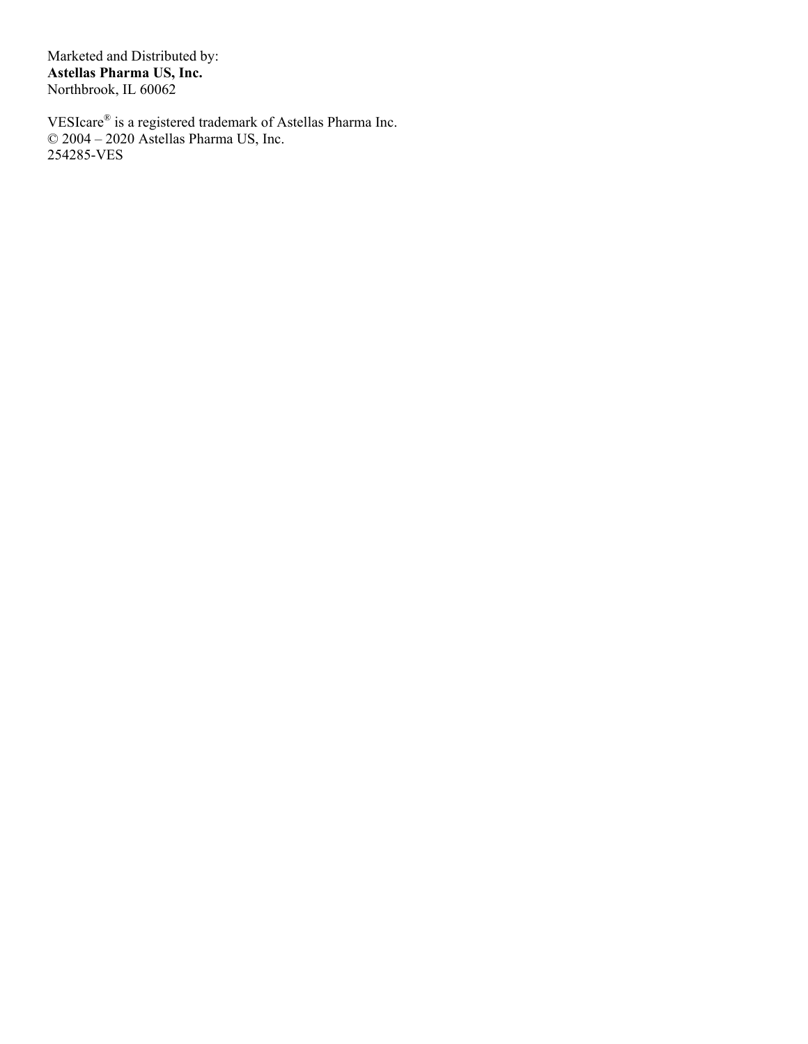Marketed and Distributed by: **Astellas Pharma US, Inc.**  Northbrook, IL 60062

VESIcare® is a registered trademark of Astellas Pharma Inc. © 2004 – 2020 Astellas Pharma US, Inc. 254285-VES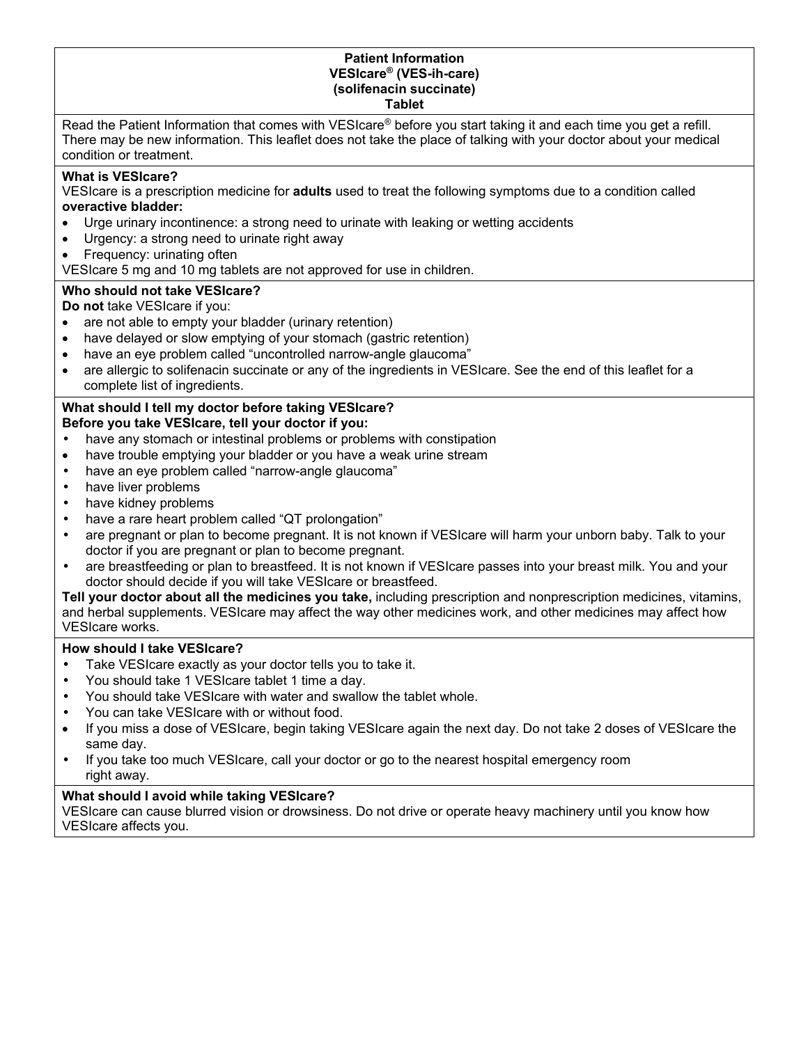#### **Patient Information VESIcare® (VES-ih-care) (solifenacin succinate) Tablet**

Read the Patient Information that comes with VESIcare® before you start taking it and each time you get a refill. There may be new information. This leaflet does not take the place of talking with your doctor about your medical condition or treatment.

### **What is VESIcare?**

VESIcare is a prescription medicine for **adults** used to treat the following symptoms due to a condition called **overactive bladder:**

- Urge urinary incontinence: a strong need to urinate with leaking or wetting accidents
- Urgency: a strong need to urinate right away
- Frequency: urinating often

VESIcare 5 mg and 10 mg tablets are not approved for use in children.

### **Who should not take VESIcare?**

**Do not** take VESIcare if you:

- are not able to empty your bladder (urinary retention)
- have delayed or slow emptying of your stomach (gastric retention)
- have an eye problem called "uncontrolled narrow-angle glaucoma"
- are allergic to solifenacin succinate or any of the ingredients in VESIcare. See the end of this leaflet for a complete list of ingredients.

#### **What should I tell my doctor before taking VESIcare? Before you take VESIcare, tell your doctor if you:**

- have any stomach or intestinal problems or problems with constipation
- have trouble emptying your bladder or you have a weak urine stream
- have an eye problem called "narrow-angle glaucoma"
- have liver problems
- have kidney problems
- have a rare heart problem called "QT prolongation"
- are pregnant or plan to become pregnant. It is not known if VESIcare will harm your unborn baby. Talk to your doctor if you are pregnant or plan to become pregnant.
- are breastfeeding or plan to breastfeed. It is not known if VESIcare passes into your breast milk. You and your doctor should decide if you will take VESIcare or breastfeed.

**Tell your doctor about all the medicines you take,** including prescription and nonprescription medicines, vitamins, and herbal supplements. VESIcare may affect the way other medicines work, and other medicines may affect how VESIcare works.

### **How should I take VESIcare?**

- Take VESIcare exactly as your doctor tells you to take it.
- You should take 1 VESIcare tablet 1 time a day.
- You should take VESIcare with water and swallow the tablet whole.
- You can take VESIcare with or without food.
- If you miss a dose of VESIcare, begin taking VESIcare again the next day. Do not take 2 doses of VESIcare the same day.
- If you take too much VESIcare, call your doctor or go to the nearest hospital emergency room right away.

# **What should I avoid while taking VESIcare?**

VESIcare can cause blurred vision or drowsiness. Do not drive or operate heavy machinery until you know how VESIcare affects you.